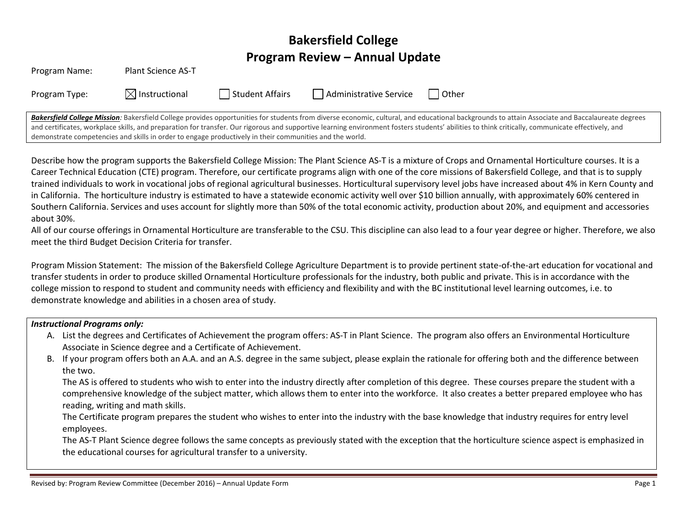# **Bakersfield College Program Review – Annual Update**

| Program Name:                                                                                                                                                                                   | <b>Plant Science AS-T</b> |                 |                        |       |
|-------------------------------------------------------------------------------------------------------------------------------------------------------------------------------------------------|---------------------------|-----------------|------------------------|-------|
| Program Type:                                                                                                                                                                                   | $\boxtimes$ Instructional | Student Affairs | Administrative Service | Other |
| Bakersfield College Mission: Bakersfield College provides opportunities for students from diverse economic, cultural, and educational backgrounds to attain Associate and Baccalaureate degrees |                           |                 |                        |       |

and certificates, workplace skills, and preparation for transfer. Our rigorous and supportive learning environment fosters students' abilities to think critically, communicate effectively, and demonstrate competencies and skills in order to engage productively in their communities and the world.

Describe how the program supports the Bakersfield College Mission: The Plant Science AS-T is a mixture of Crops and Ornamental Horticulture courses. It is a Career Technical Education (CTE) program. Therefore, our certificate programs align with one of the core missions of Bakersfield College, and that is to supply trained individuals to work in vocational jobs of regional agricultural businesses. Horticultural supervisory level jobs have increased about 4% in Kern County and in California. The horticulture industry is estimated to have a statewide economic activity well over \$10 billion annually, with approximately 60% centered in Southern California. Services and uses account for slightly more than 50% of the total economic activity, production about 20%, and equipment and accessories about 30%.

All of our course offerings in Ornamental Horticulture are transferable to the CSU. This discipline can also lead to a four year degree or higher. Therefore, we also meet the third Budget Decision Criteria for transfer.

Program Mission Statement: The mission of the Bakersfield College Agriculture Department is to provide pertinent state-of-the-art education for vocational and transfer students in order to produce skilled Ornamental Horticulture professionals for the industry, both public and private. This is in accordance with the college mission to respond to student and community needs with efficiency and flexibility and with the BC institutional level learning outcomes, i.e. to demonstrate knowledge and abilities in a chosen area of study.

#### *Instructional Programs only:*

- A. List the degrees and Certificates of Achievement the program offers: AS-T in Plant Science. The program also offers an Environmental Horticulture Associate in Science degree and a Certificate of Achievement.
- B. If your program offers both an A.A. and an A.S. degree in the same subject, please explain the rationale for offering both and the difference between the two.

The AS is offered to students who wish to enter into the industry directly after completion of this degree. These courses prepare the student with a comprehensive knowledge of the subject matter, which allows them to enter into the workforce. It also creates a better prepared employee who has reading, writing and math skills.

The Certificate program prepares the student who wishes to enter into the industry with the base knowledge that industry requires for entry level employees.

The AS-T Plant Science degree follows the same concepts as previously stated with the exception that the horticulture science aspect is emphasized in the educational courses for agricultural transfer to a university.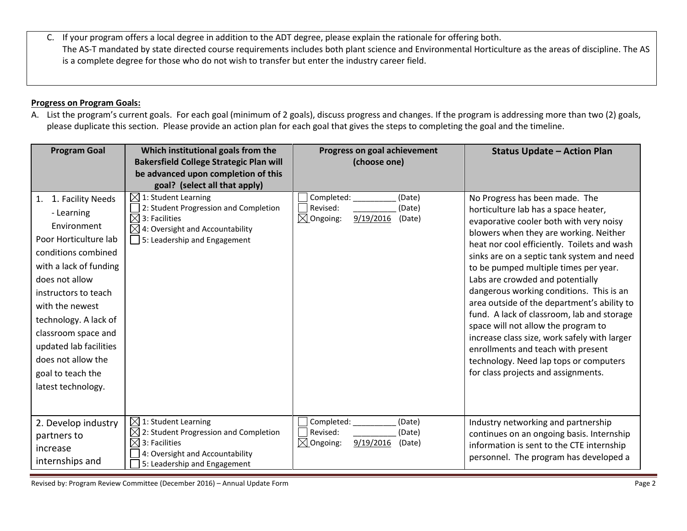C. If your program offers a local degree in addition to the ADT degree, please explain the rationale for offering both. The AS-T mandated by state directed course requirements includes both plant science and Environmental Horticulture as the areas of discipline. The AS is a complete degree for those who do not wish to transfer but enter the industry career field.

### **Progress on Program Goals:**

A. List the program's current goals. For each goal (minimum of 2 goals), discuss progress and changes. If the program is addressing more than two (2) goals, please duplicate this section. Please provide an action plan for each goal that gives the steps to completing the goal and the timeline.

| <b>Program Goal</b>                                                                                                                                                                                                                                                                                                                    | Which institutional goals from the<br><b>Bakersfield College Strategic Plan will</b><br>be advanced upon completion of this<br>goal? (select all that apply)                            | Progress on goal achievement<br>(choose one)                                              | <b>Status Update - Action Plan</b>                                                                                                                                                                                                                                                                                                                                                                                                                                                                                                                                                                                                                                                           |
|----------------------------------------------------------------------------------------------------------------------------------------------------------------------------------------------------------------------------------------------------------------------------------------------------------------------------------------|-----------------------------------------------------------------------------------------------------------------------------------------------------------------------------------------|-------------------------------------------------------------------------------------------|----------------------------------------------------------------------------------------------------------------------------------------------------------------------------------------------------------------------------------------------------------------------------------------------------------------------------------------------------------------------------------------------------------------------------------------------------------------------------------------------------------------------------------------------------------------------------------------------------------------------------------------------------------------------------------------------|
| 1. Facility Needs<br>1.<br>- Learning<br>Environment<br>Poor Horticulture lab<br>conditions combined<br>with a lack of funding<br>does not allow<br>instructors to teach<br>with the newest<br>technology. A lack of<br>classroom space and<br>updated lab facilities<br>does not allow the<br>goal to teach the<br>latest technology. | $\boxtimes$ 1: Student Learning<br>2: Student Progression and Completion<br>$\boxtimes$<br>3: Facilities<br>4: Oversight and Accountability<br>5: Leadership and Engagement             | Completed:<br>(Date)<br>Revised:<br>(Date)<br>$\boxtimes$ Ongoing:<br>9/19/2016<br>(Date) | No Progress has been made. The<br>horticulture lab has a space heater,<br>evaporative cooler both with very noisy<br>blowers when they are working. Neither<br>heat nor cool efficiently. Toilets and wash<br>sinks are on a septic tank system and need<br>to be pumped multiple times per year.<br>Labs are crowded and potentially<br>dangerous working conditions. This is an<br>area outside of the department's ability to<br>fund. A lack of classroom, lab and storage<br>space will not allow the program to<br>increase class size, work safely with larger<br>enrollments and teach with present<br>technology. Need lap tops or computers<br>for class projects and assignments. |
| 2. Develop industry<br>partners to<br>increase<br>internships and                                                                                                                                                                                                                                                                      | $\boxtimes$ 1: Student Learning<br>2: Student Progression and Completion<br>$\boxtimes$<br>$\times$<br>3: Facilities<br>4: Oversight and Accountability<br>5: Leadership and Engagement | Completed:<br>(Date)<br>Revised:<br>(Date)<br>9/19/2016<br>$\boxtimes$ Ongoing:<br>(Date) | Industry networking and partnership<br>continues on an ongoing basis. Internship<br>information is sent to the CTE internship<br>personnel. The program has developed a                                                                                                                                                                                                                                                                                                                                                                                                                                                                                                                      |

Revised by: Program Review Committee (December 2016) – Annual Update Form **Page 2** Page 2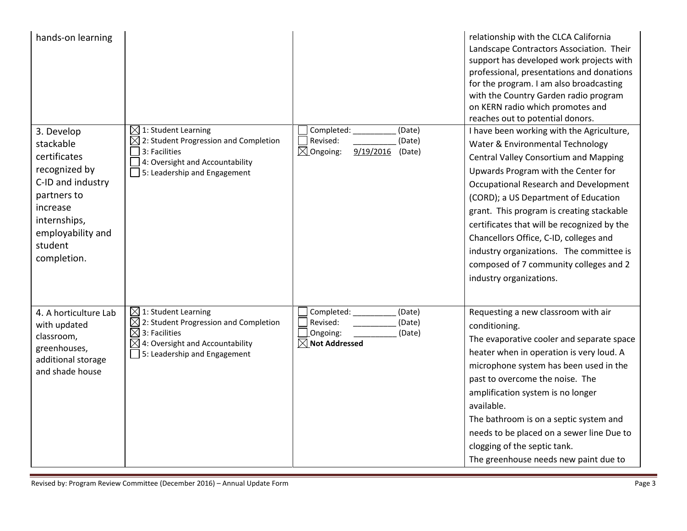| hands-on learning                                                                                                                                                       |                                                                                                                                                                                                     |                                                                                               | relationship with the CLCA California<br>Landscape Contractors Association. Their<br>support has developed work projects with<br>professional, presentations and donations<br>for the program. I am also broadcasting<br>with the Country Garden radio program<br>on KERN radio which promotes and<br>reaches out to potential donors.                                                                                                                                                                       |
|-------------------------------------------------------------------------------------------------------------------------------------------------------------------------|-----------------------------------------------------------------------------------------------------------------------------------------------------------------------------------------------------|-----------------------------------------------------------------------------------------------|--------------------------------------------------------------------------------------------------------------------------------------------------------------------------------------------------------------------------------------------------------------------------------------------------------------------------------------------------------------------------------------------------------------------------------------------------------------------------------------------------------------|
| 3. Develop<br>stackable<br>certificates<br>recognized by<br>C-ID and industry<br>partners to<br>increase<br>internships,<br>employability and<br>student<br>completion. | $\boxtimes$ 1: Student Learning<br>2: Student Progression and Completion<br>3: Facilities<br>4: Oversight and Accountability<br>5: Leadership and Engagement                                        | Completed:<br>(Date)<br>Revised:<br>(Date)<br>$\boxtimes$ Ongoing:<br>9/19/2016<br>(Date)     | I have been working with the Agriculture,<br>Water & Environmental Technology<br><b>Central Valley Consortium and Mapping</b><br>Upwards Program with the Center for<br>Occupational Research and Development<br>(CORD); a US Department of Education<br>grant. This program is creating stackable<br>certificates that will be recognized by the<br>Chancellors Office, C-ID, colleges and<br>industry organizations. The committee is<br>composed of 7 community colleges and 2<br>industry organizations. |
| 4. A horticulture Lab<br>with updated<br>classroom,<br>greenhouses,<br>additional storage<br>and shade house                                                            | $\boxtimes$ 1: Student Learning<br>$\boxtimes$ 2: Student Progression and Completion<br>$\boxtimes$ 3: Facilities<br>$\boxtimes$<br>4: Oversight and Accountability<br>5: Leadership and Engagement | Completed:<br>(Date)<br>Revised:<br>(Date)<br>Ongoing:<br>(Date)<br>$\boxtimes$ Not Addressed | Requesting a new classroom with air<br>conditioning.<br>The evaporative cooler and separate space<br>heater when in operation is very loud. A<br>microphone system has been used in the<br>past to overcome the noise. The<br>amplification system is no longer<br>available.<br>The bathroom is on a septic system and<br>needs to be placed on a sewer line Due to<br>clogging of the septic tank.<br>The greenhouse needs new paint due to                                                                |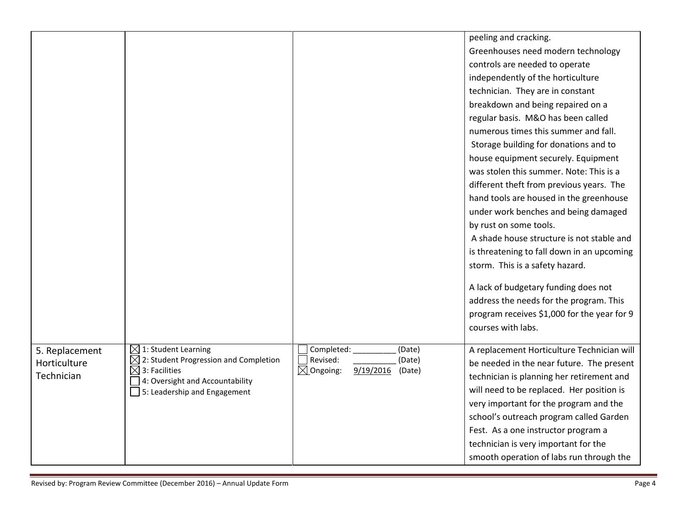|                |                                                                                |                                                       | peeling and cracking.                       |
|----------------|--------------------------------------------------------------------------------|-------------------------------------------------------|---------------------------------------------|
|                |                                                                                |                                                       | Greenhouses need modern technology          |
|                |                                                                                |                                                       | controls are needed to operate              |
|                |                                                                                |                                                       | independently of the horticulture           |
|                |                                                                                |                                                       | technician. They are in constant            |
|                |                                                                                |                                                       | breakdown and being repaired on a           |
|                |                                                                                |                                                       | regular basis. M&O has been called          |
|                |                                                                                |                                                       | numerous times this summer and fall.        |
|                |                                                                                |                                                       | Storage building for donations and to       |
|                |                                                                                |                                                       | house equipment securely. Equipment         |
|                |                                                                                |                                                       | was stolen this summer. Note: This is a     |
|                |                                                                                |                                                       | different theft from previous years. The    |
|                |                                                                                |                                                       | hand tools are housed in the greenhouse     |
|                |                                                                                |                                                       | under work benches and being damaged        |
|                |                                                                                |                                                       | by rust on some tools.                      |
|                |                                                                                |                                                       | A shade house structure is not stable and   |
|                |                                                                                |                                                       | is threatening to fall down in an upcoming  |
|                |                                                                                |                                                       | storm. This is a safety hazard.             |
|                |                                                                                |                                                       | A lack of budgetary funding does not        |
|                |                                                                                |                                                       | address the needs for the program. This     |
|                |                                                                                |                                                       | program receives \$1,000 for the year for 9 |
|                |                                                                                |                                                       | courses with labs.                          |
|                |                                                                                |                                                       |                                             |
| 5. Replacement | $\boxtimes$ 1: Student Learning                                                | Completed:<br>(Date)<br>Revised:                      | A replacement Horticulture Technician will  |
| Horticulture   | $\boxtimes$ 2: Student Progression and Completion<br>$\boxtimes$ 3: Facilities | (Date)<br>$\boxtimes$ Ongoing:<br>9/19/2016<br>(Date) | be needed in the near future. The present   |
| Technician     | 4: Oversight and Accountability                                                |                                                       | technician is planning her retirement and   |
|                | $\sqrt{ }$ 5: Leadership and Engagement                                        |                                                       | will need to be replaced. Her position is   |
|                |                                                                                |                                                       | very important for the program and the      |
|                |                                                                                |                                                       | school's outreach program called Garden     |
|                |                                                                                |                                                       | Fest. As a one instructor program a         |
|                |                                                                                |                                                       | technician is very important for the        |
|                |                                                                                |                                                       | smooth operation of labs run through the    |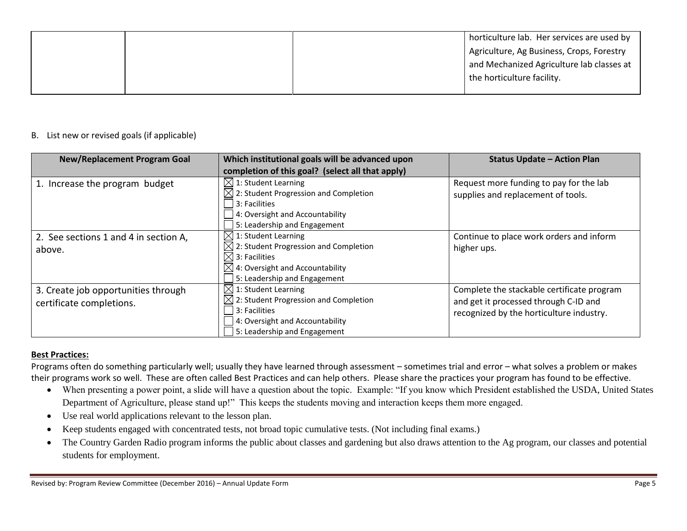|  | horticulture lab. Her services are used by |
|--|--------------------------------------------|
|  | Agriculture, Ag Business, Crops, Forestry  |
|  | and Mechanized Agriculture lab classes at  |
|  | the horticulture facility.                 |
|  |                                            |

## B. List new or revised goals (if applicable)

| <b>New/Replacement Program Goal</b>                             | Which institutional goals will be advanced upon<br>completion of this goal? (select all that apply)                                                                                              | <b>Status Update - Action Plan</b>                                                                                              |
|-----------------------------------------------------------------|--------------------------------------------------------------------------------------------------------------------------------------------------------------------------------------------------|---------------------------------------------------------------------------------------------------------------------------------|
| 1. Increase the program budget                                  | $[$ 1: Student Learning<br>$\boxtimes$ 2: Student Progression and Completion<br>3: Facilities<br>4: Oversight and Accountability<br>5: Leadership and Engagement                                 | Request more funding to pay for the lab<br>supplies and replacement of tools.                                                   |
| 2. See sections 1 and 4 in section A,<br>above.                 | $\boxtimes$ 1: Student Learning<br>$\boxtimes$ 2: Student Progression and Completion<br>$\boxtimes$ 3: Facilities<br>$\boxtimes$ 4: Oversight and Accountability<br>5: Leadership and Engagement | Continue to place work orders and inform<br>higher ups.                                                                         |
| 3. Create job opportunities through<br>certificate completions. | $\boxtimes$ 1: Student Learning<br>$\boxtimes$ 2: Student Progression and Completion<br>l 3: Facilities<br>4: Oversight and Accountability<br>5: Leadership and Engagement                       | Complete the stackable certificate program<br>and get it processed through C-ID and<br>recognized by the horticulture industry. |

## **Best Practices:**

Programs often do something particularly well; usually they have learned through assessment – sometimes trial and error – what solves a problem or makes their programs work so well. These are often called Best Practices and can help others. Please share the practices your program has found to be effective.

- When presenting a power point, a slide will have a question about the topic. Example: "If you know which President established the USDA, United States Department of Agriculture, please stand up!" This keeps the students moving and interaction keeps them more engaged.
- Use real world applications relevant to the lesson plan.
- Keep students engaged with concentrated tests, not broad topic cumulative tests. (Not including final exams.)
- The Country Garden Radio program informs the public about classes and gardening but also draws attention to the Ag program, our classes and potential students for employment.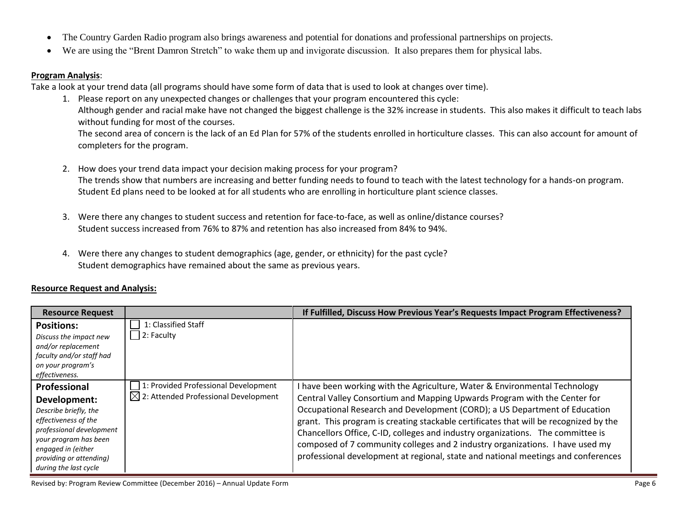- The Country Garden Radio program also brings awareness and potential for donations and professional partnerships on projects.
- We are using the "Brent Damron Stretch" to wake them up and invigorate discussion. It also prepares them for physical labs.

### **Program Analysis**:

Take a look at your trend data (all programs should have some form of data that is used to look at changes over time).

1. Please report on any unexpected changes or challenges that your program encountered this cycle: Although gender and racial make have not changed the biggest challenge is the 32% increase in students. This also makes it difficult to teach labs without funding for most of the courses.

The second area of concern is the lack of an Ed Plan for 57% of the students enrolled in horticulture classes. This can also account for amount of completers for the program.

- 2. How does your trend data impact your decision making process for your program? The trends show that numbers are increasing and better funding needs to found to teach with the latest technology for a hands-on program. Student Ed plans need to be looked at for all students who are enrolling in horticulture plant science classes.
- 3. Were there any changes to student success and retention for face-to-face, as well as online/distance courses? Student success increased from 76% to 87% and retention has also increased from 84% to 94%.
- 4. Were there any changes to student demographics (age, gender, or ethnicity) for the past cycle? Student demographics have remained about the same as previous years.

# **Resource Request and Analysis:**

| <b>Resource Request</b>                                                                                                                                                                                      |                                                                                          | If Fulfilled, Discuss How Previous Year's Requests Impact Program Effectiveness?                                                                                                                                                                                                                                                                                                                                                                                                                                                                                                        |
|--------------------------------------------------------------------------------------------------------------------------------------------------------------------------------------------------------------|------------------------------------------------------------------------------------------|-----------------------------------------------------------------------------------------------------------------------------------------------------------------------------------------------------------------------------------------------------------------------------------------------------------------------------------------------------------------------------------------------------------------------------------------------------------------------------------------------------------------------------------------------------------------------------------------|
| <b>Positions:</b><br>Discuss the impact new<br>and/or replacement<br>faculty and/or staff had<br>on your program's<br>effectiveness.                                                                         | 1: Classified Staff<br>$\vert$ 2: Faculty                                                |                                                                                                                                                                                                                                                                                                                                                                                                                                                                                                                                                                                         |
| Professional<br>Development:<br>Describe briefly, the<br>effectiveness of the<br>professional development<br>your program has been<br>engaged in (either<br>providing or attending)<br>during the last cycle | 1: Provided Professional Development<br>$\boxtimes$ 2: Attended Professional Development | I have been working with the Agriculture, Water & Environmental Technology<br>Central Valley Consortium and Mapping Upwards Program with the Center for<br>Occupational Research and Development (CORD); a US Department of Education<br>grant. This program is creating stackable certificates that will be recognized by the<br>Chancellors Office, C-ID, colleges and industry organizations. The committee is<br>composed of 7 community colleges and 2 industry organizations. I have used my<br>professional development at regional, state and national meetings and conferences |

Revised by: Program Review Committee (December 2016) – Annual Update Form **Page 6**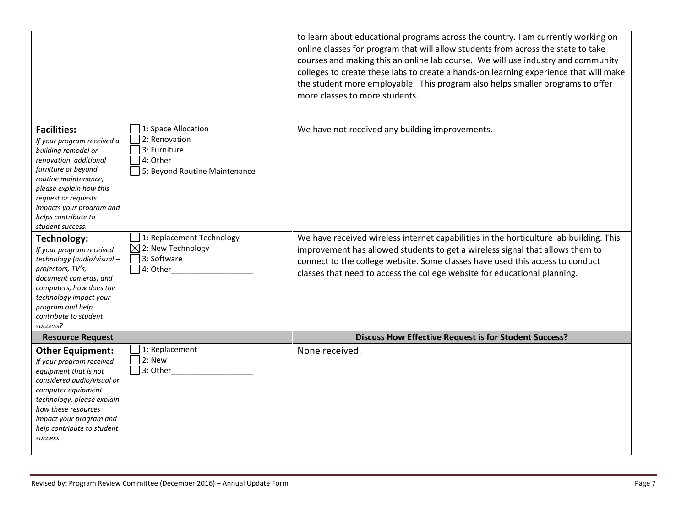|                                                                                                                                                                                                                                                                           |                                                                                                   | to learn about educational programs across the country. I am currently working on<br>online classes for program that will allow students from across the state to take<br>courses and making this an online lab course. We will use industry and community<br>colleges to create these labs to create a hands-on learning experience that will make<br>the student more employable. This program also helps smaller programs to offer<br>more classes to more students. |
|---------------------------------------------------------------------------------------------------------------------------------------------------------------------------------------------------------------------------------------------------------------------------|---------------------------------------------------------------------------------------------------|-------------------------------------------------------------------------------------------------------------------------------------------------------------------------------------------------------------------------------------------------------------------------------------------------------------------------------------------------------------------------------------------------------------------------------------------------------------------------|
| <b>Facilities:</b><br>If your program received a<br>building remodel or<br>renovation, additional<br>furniture or beyond<br>routine maintenance,<br>please explain how this<br>request or requests<br>impacts your program and<br>helps contribute to<br>student success. | 1: Space Allocation<br>2: Renovation<br>3: Furniture<br>4: Other<br>5: Beyond Routine Maintenance | We have not received any building improvements.                                                                                                                                                                                                                                                                                                                                                                                                                         |
| Technology:<br>If your program received<br>technology (audio/visual-<br>projectors, TV's,<br>document cameras) and<br>computers, how does the<br>technology impact your<br>program and help<br>contribute to student<br>success?                                          | 1: Replacement Technology<br>$\boxtimes$ 2: New Technology<br>3: Software<br>4: Other             | We have received wireless internet capabilities in the horticulture lab building. This<br>improvement has allowed students to get a wireless signal that allows them to<br>connect to the college website. Some classes have used this access to conduct<br>classes that need to access the college website for educational planning.                                                                                                                                   |
| <b>Resource Request</b>                                                                                                                                                                                                                                                   |                                                                                                   | <b>Discuss How Effective Request is for Student Success?</b>                                                                                                                                                                                                                                                                                                                                                                                                            |
| <b>Other Equipment:</b><br>If your program received<br>equipment that is not<br>considered audio/visual or<br>computer equipment<br>technology, please explain<br>how these resources<br>impact your program and<br>help contribute to student<br>success.                | 1: Replacement<br>2: New<br>3: Other                                                              | None received.                                                                                                                                                                                                                                                                                                                                                                                                                                                          |